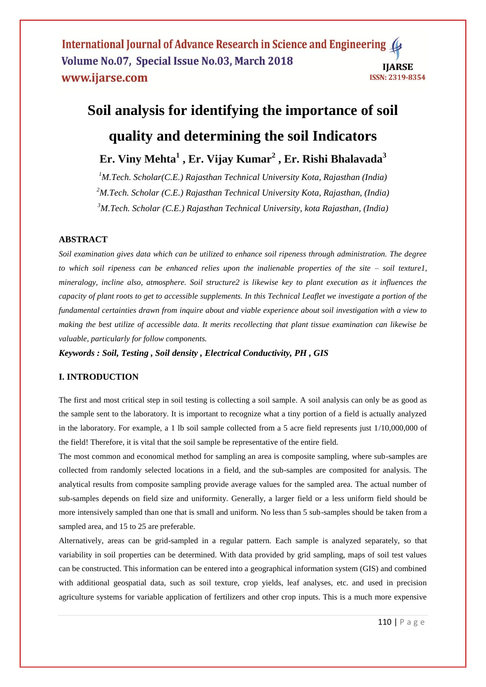International Journal of Advance Research in Science and Engineering 4 Volume No.07, Special Issue No.03, March 2018 **IIARSE** www.ijarse.com **ISSN: 2319-8354** 

# **Soil analysis for identifying the importance of soil quality and determining the soil Indicators**

**Er. Viny Mehta<sup>1</sup> , Er. Vijay Kumar<sup>2</sup> , Er. Rishi Bhalavada<sup>3</sup>**

*<sup>1</sup>M.Tech. Scholar(C.E.) Rajasthan Technical University Kota, Rajasthan (India) <sup>2</sup>M.Tech. Scholar (C.E.) Rajasthan Technical University Kota, Rajasthan, (India) <sup>3</sup>M.Tech. Scholar (C.E.) Rajasthan Technical University, kota Rajasthan, (India)*

# **ABSTRACT**

*Soil examination gives data which can be utilized to enhance soil ripeness through administration. The degree to which soil ripeness can be enhanced relies upon the inalienable properties of the site – soil texture1, mineralogy, incline also, atmosphere. Soil structure2 is likewise key to plant execution as it influences the capacity of plant roots to get to accessible supplements. In this Technical Leaflet we investigate a portion of the fundamental certainties drawn from inquire about and viable experience about soil investigation with a view to making the best utilize of accessible data. It merits recollecting that plant tissue examination can likewise be valuable, particularly for follow components.*

*Keywords : Soil, Testing , Soil density , Electrical Conductivity, PH , GIS* 

# **I. INTRODUCTION**

The first and most critical step in soil testing is collecting a soil sample. A soil analysis can only be as good as the sample sent to the laboratory. It is important to recognize what a tiny portion of a field is actually analyzed in the laboratory. For example, a 1 lb soil sample collected from a 5 acre field represents just 1/10,000,000 of the field! Therefore, it is vital that the soil sample be representative of the entire field.

The most common and economical method for sampling an area is composite sampling, where sub-samples are collected from randomly selected locations in a field, and the sub-samples are composited for analysis. The analytical results from composite sampling provide average values for the sampled area. The actual number of sub-samples depends on field size and uniformity. Generally, a larger field or a less uniform field should be more intensively sampled than one that is small and uniform. No less than 5 sub-samples should be taken from a sampled area, and 15 to 25 are preferable.

Alternatively, areas can be grid-sampled in a regular pattern. Each sample is analyzed separately, so that variability in soil properties can be determined. With data provided by grid sampling, maps of soil test values can be constructed. This information can be entered into a geographical information system (GIS) and combined with additional geospatial data, such as soil texture, crop yields, leaf analyses, etc. and used in precision agriculture systems for variable application of fertilizers and other crop inputs. This is a much more expensive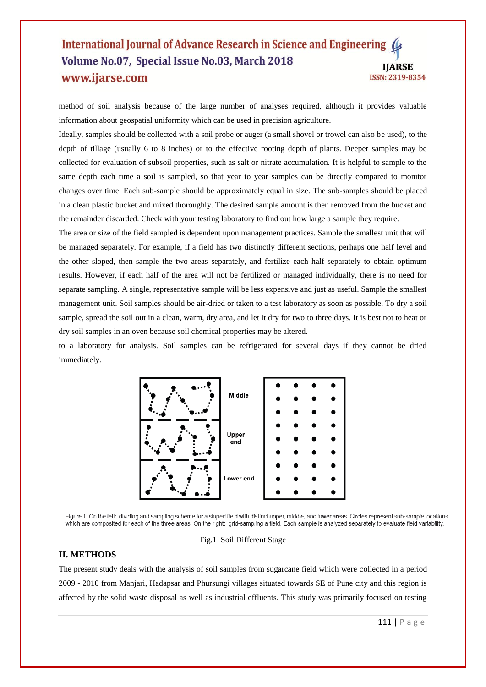## International Journal of Advance Research in Science and Engineering Volume No.07, Special Issue No.03, March 2018 **IIARSE** www.ijarse.com ISSN: 2319-8354

method of soil analysis because of the large number of analyses required, although it provides valuable information about geospatial uniformity which can be used in precision agriculture.

Ideally, samples should be collected with a soil probe or auger (a small shovel or trowel can also be used), to the depth of tillage (usually 6 to 8 inches) or to the effective rooting depth of plants. Deeper samples may be collected for evaluation of subsoil properties, such as salt or nitrate accumulation. It is helpful to sample to the same depth each time a soil is sampled, so that year to year samples can be directly compared to monitor changes over time. Each sub-sample should be approximately equal in size. The sub-samples should be placed in a clean plastic bucket and mixed thoroughly. The desired sample amount is then removed from the bucket and the remainder discarded. Check with your testing laboratory to find out how large a sample they require.

The area or size of the field sampled is dependent upon management practices. Sample the smallest unit that will be managed separately. For example, if a field has two distinctly different sections, perhaps one half level and the other sloped, then sample the two areas separately, and fertilize each half separately to obtain optimum results. However, if each half of the area will not be fertilized or managed individually, there is no need for separate sampling. A single, representative sample will be less expensive and just as useful. Sample the smallest management unit. Soil samples should be air-dried or taken to a test laboratory as soon as possible. To dry a soil sample, spread the soil out in a clean, warm, dry area, and let it dry for two to three days. It is best not to heat or dry soil samples in an oven because soil chemical properties may be altered.

to a laboratory for analysis. Soil samples can be refrigerated for several days if they cannot be dried immediately.



Figure 1. On the left: dividing and sampling scheme for a sloped field with distinct upper, middle, and lower areas. Circles represent sub-sample locations which are composited for each of the three areas. On the right: grid-sampling a field. Each sample is analyzed separately to evaluate field variability.

#### Fig.1 Soil Different Stage

#### **II. METHODS**

The present study deals with the analysis of soil samples from sugarcane field which were collected in a period 2009 - 2010 from Manjari, Hadapsar and Phursungi villages situated towards SE of Pune city and this region is affected by the solid waste disposal as well as industrial effluents. This study was primarily focused on testing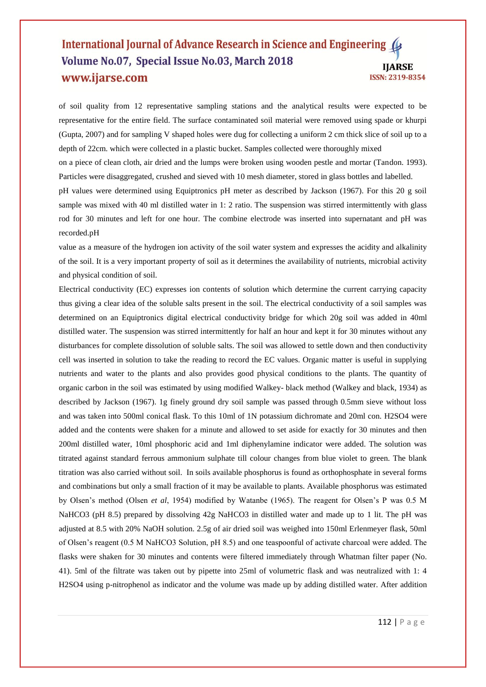## International Journal of Advance Research in Science and Engineering Volume No.07, Special Issue No.03, March 2018 **IJARSE** www.ijarse.com ISSN: 2319-8354

of soil quality from 12 representative sampling stations and the analytical results were expected to be representative for the entire field. The surface contaminated soil material were removed using spade or khurpi (Gupta, 2007) and for sampling V shaped holes were dug for collecting a uniform 2 cm thick slice of soil up to a depth of 22cm. which were collected in a plastic bucket. Samples collected were thoroughly mixed on a piece of clean cloth, air dried and the lumps were broken using wooden pestle and mortar (Tandon. 1993). Particles were disaggregated, crushed and sieved with 10 mesh diameter, stored in glass bottles and labelled. pH values were determined using Equiptronics pH meter as described by Jackson (1967). For this 20 g soil

sample was mixed with 40 ml distilled water in 1: 2 ratio. The suspension was stirred intermittently with glass rod for 30 minutes and left for one hour. The combine electrode was inserted into supernatant and pH was recorded.pH

value as a measure of the hydrogen ion activity of the soil water system and expresses the acidity and alkalinity of the soil. It is a very important property of soil as it determines the availability of nutrients, microbial activity and physical condition of soil.

Electrical conductivity (EC) expresses ion contents of solution which determine the current carrying capacity thus giving a clear idea of the soluble salts present in the soil. The electrical conductivity of a soil samples was determined on an Equiptronics digital electrical conductivity bridge for which 20g soil was added in 40ml distilled water. The suspension was stirred intermittently for half an hour and kept it for 30 minutes without any disturbances for complete dissolution of soluble salts. The soil was allowed to settle down and then conductivity cell was inserted in solution to take the reading to record the EC values. Organic matter is useful in supplying nutrients and water to the plants and also provides good physical conditions to the plants. The quantity of organic carbon in the soil was estimated by using modified Walkey- black method (Walkey and black, 1934) as described by Jackson (1967). 1g finely ground dry soil sample was passed through 0.5mm sieve without loss and was taken into 500ml conical flask. To this 10ml of 1N potassium dichromate and 20ml con. H2SO4 were added and the contents were shaken for a minute and allowed to set aside for exactly for 30 minutes and then 200ml distilled water, 10ml phosphoric acid and 1ml diphenylamine indicator were added. The solution was titrated against standard ferrous ammonium sulphate till colour changes from blue violet to green. The blank titration was also carried without soil. In soils available phosphorus is found as orthophosphate in several forms and combinations but only a small fraction of it may be available to plants. Available phosphorus was estimated by Olsen"s method (Olsen *et al*, 1954) modified by Watanbe (1965). The reagent for Olsen"s P was 0.5 M NaHCO3 (pH 8.5) prepared by dissolving 42g NaHCO3 in distilled water and made up to 1 lit. The pH was adjusted at 8.5 with 20% NaOH solution. 2.5g of air dried soil was weighed into 150ml Erlenmeyer flask, 50ml of Olsen"s reagent (0.5 M NaHCO3 Solution, pH 8.5) and one teaspoonful of activate charcoal were added. The flasks were shaken for 30 minutes and contents were filtered immediately through Whatman filter paper (No. 41). 5ml of the filtrate was taken out by pipette into 25ml of volumetric flask and was neutralized with 1: 4 H2SO4 using p-nitrophenol as indicator and the volume was made up by adding distilled water. After addition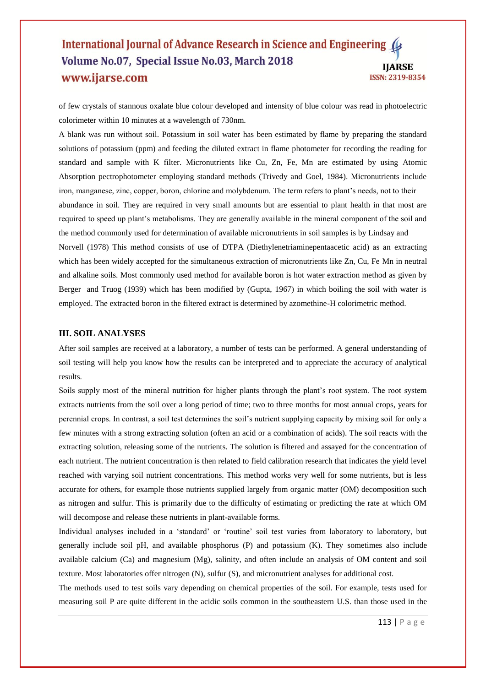## International Journal of Advance Research in Science and Engineering ( Volume No.07, Special Issue No.03, March 2018 **IJARSE** www.ijarse.com ISSN: 2319-8354

of few crystals of stannous oxalate blue colour developed and intensity of blue colour was read in photoelectric colorimeter within 10 minutes at a wavelength of 730nm.

A blank was run without soil. Potassium in soil water has been estimated by flame by preparing the standard solutions of potassium (ppm) and feeding the diluted extract in flame photometer for recording the reading for standard and sample with K filter. Micronutrients like Cu, Zn, Fe, Mn are estimated by using Atomic Absorption pectrophotometer employing standard methods (Trivedy and Goel, 1984). Micronutrients include iron, manganese, zinc, copper, boron, chlorine and molybdenum. The term refers to plant"s needs, not to their abundance in soil. They are required in very small amounts but are essential to plant health in that most are required to speed up plant"s metabolisms. They are generally available in the mineral component of the soil and the method commonly used for determination of available micronutrients in soil samples is by Lindsay and Norvell (1978) This method consists of use of DTPA (Diethylenetriaminepentaacetic acid) as an extracting which has been widely accepted for the simultaneous extraction of micronutrients like Zn, Cu, Fe Mn in neutral and alkaline soils. Most commonly used method for available boron is hot water extraction method as given by Berger and Truog (1939) which has been modified by (Gupta, 1967) in which boiling the soil with water is employed. The extracted boron in the filtered extract is determined by azomethine-H colorimetric method.

## **III. SOIL ANALYSES**

After soil samples are received at a laboratory, a number of tests can be performed. A general understanding of soil testing will help you know how the results can be interpreted and to appreciate the accuracy of analytical results.

Soils supply most of the mineral nutrition for higher plants through the plant"s root system. The root system extracts nutrients from the soil over a long period of time; two to three months for most annual crops, years for perennial crops. In contrast, a soil test determines the soil"s nutrient supplying capacity by mixing soil for only a few minutes with a strong extracting solution (often an acid or a combination of acids). The soil reacts with the extracting solution, releasing some of the nutrients. The solution is filtered and assayed for the concentration of each nutrient. The nutrient concentration is then related to field calibration research that indicates the yield level reached with varying soil nutrient concentrations. This method works very well for some nutrients, but is less accurate for others, for example those nutrients supplied largely from organic matter (OM) decomposition such as nitrogen and sulfur. This is primarily due to the difficulty of estimating or predicting the rate at which OM will decompose and release these nutrients in plant-available forms.

Individual analyses included in a "standard" or "routine" soil test varies from laboratory to laboratory, but generally include soil pH, and available phosphorus (P) and potassium (K). They sometimes also include available calcium (Ca) and magnesium (Mg), salinity, and often include an analysis of OM content and soil texture. Most laboratories offer nitrogen (N), sulfur (S), and micronutrient analyses for additional cost.

The methods used to test soils vary depending on chemical properties of the soil. For example, tests used for measuring soil P are quite different in the acidic soils common in the southeastern U.S. than those used in the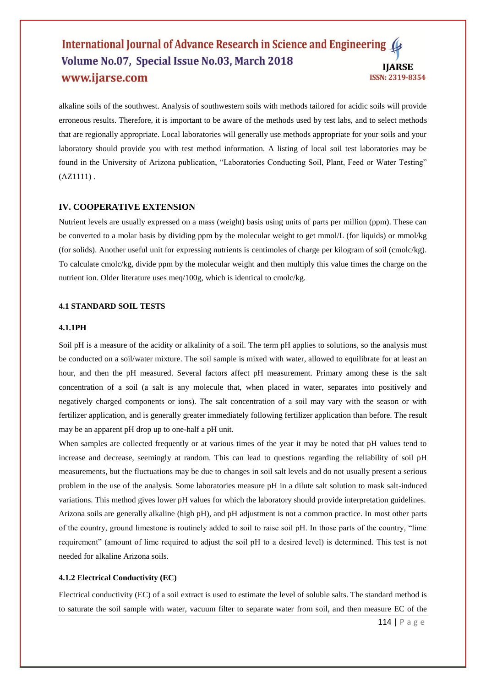## International Journal of Advance Research in Science and Engineering ( Volume No.07, Special Issue No.03, March 2018 **IIARSE** www.ijarse.com ISSN: 2319-8354

alkaline soils of the southwest. Analysis of southwestern soils with methods tailored for acidic soils will provide erroneous results. Therefore, it is important to be aware of the methods used by test labs, and to select methods that are regionally appropriate. Local laboratories will generally use methods appropriate for your soils and your laboratory should provide you with test method information. A listing of local soil test laboratories may be found in the University of Arizona publication, "Laboratories Conducting Soil, Plant, Feed or Water Testing"  $(AZ1111)$ .

## **IV. COOPERATIVE EXTENSION**

Nutrient levels are usually expressed on a mass (weight) basis using units of parts per million (ppm). These can be converted to a molar basis by dividing ppm by the molecular weight to get mmol/L (for liquids) or mmol/kg (for solids). Another useful unit for expressing nutrients is centimoles of charge per kilogram of soil (cmolc/kg). To calculate cmolc/kg, divide ppm by the molecular weight and then multiply this value times the charge on the nutrient ion. Older literature uses meq/100g, which is identical to cmolc/kg.

#### **4.1 STANDARD SOIL TESTS**

#### **4.1.1PH**

Soil pH is a measure of the acidity or alkalinity of a soil. The term pH applies to solutions, so the analysis must be conducted on a soil/water mixture. The soil sample is mixed with water, allowed to equilibrate for at least an hour, and then the pH measured. Several factors affect pH measurement. Primary among these is the salt concentration of a soil (a salt is any molecule that, when placed in water, separates into positively and negatively charged components or ions). The salt concentration of a soil may vary with the season or with fertilizer application, and is generally greater immediately following fertilizer application than before. The result may be an apparent pH drop up to one-half a pH unit.

When samples are collected frequently or at various times of the year it may be noted that pH values tend to increase and decrease, seemingly at random. This can lead to questions regarding the reliability of soil pH measurements, but the fluctuations may be due to changes in soil salt levels and do not usually present a serious problem in the use of the analysis. Some laboratories measure pH in a dilute salt solution to mask salt-induced variations. This method gives lower pH values for which the laboratory should provide interpretation guidelines. Arizona soils are generally alkaline (high pH), and pH adjustment is not a common practice. In most other parts of the country, ground limestone is routinely added to soil to raise soil pH. In those parts of the country, "lime requirement" (amount of lime required to adjust the soil pH to a desired level) is determined. This test is not needed for alkaline Arizona soils.

## **4.1.2 Electrical Conductivity (EC)**

Electrical conductivity (EC) of a soil extract is used to estimate the level of soluble salts. The standard method is to saturate the soil sample with water, vacuum filter to separate water from soil, and then measure EC of the

114 | P a g e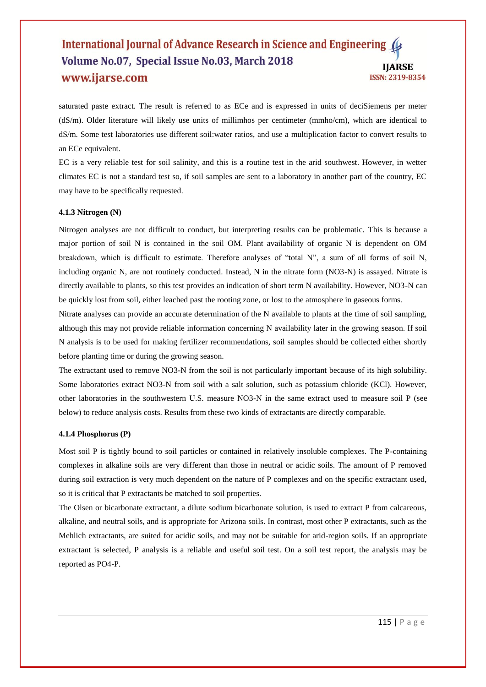## International Journal of Advance Research in Science and Engineering ( Volume No.07, Special Issue No.03, March 2018 **IIARSE** www.ijarse.com ISSN: 2319-8354

saturated paste extract. The result is referred to as ECe and is expressed in units of deciSiemens per meter (dS/m). Older literature will likely use units of millimhos per centimeter (mmho/cm), which are identical to dS/m. Some test laboratories use different soil:water ratios, and use a multiplication factor to convert results to an ECe equivalent.

EC is a very reliable test for soil salinity, and this is a routine test in the arid southwest. However, in wetter climates EC is not a standard test so, if soil samples are sent to a laboratory in another part of the country, EC may have to be specifically requested.

#### **4.1.3 Nitrogen (N)**

Nitrogen analyses are not difficult to conduct, but interpreting results can be problematic. This is because a major portion of soil N is contained in the soil OM. Plant availability of organic N is dependent on OM breakdown, which is difficult to estimate. Therefore analyses of "total N", a sum of all forms of soil N, including organic N, are not routinely conducted. Instead, N in the nitrate form (NO3-N) is assayed. Nitrate is directly available to plants, so this test provides an indication of short term N availability. However, NO3-N can be quickly lost from soil, either leached past the rooting zone, or lost to the atmosphere in gaseous forms.

Nitrate analyses can provide an accurate determination of the N available to plants at the time of soil sampling, although this may not provide reliable information concerning N availability later in the growing season. If soil N analysis is to be used for making fertilizer recommendations, soil samples should be collected either shortly before planting time or during the growing season.

The extractant used to remove NO3-N from the soil is not particularly important because of its high solubility. Some laboratories extract NO3-N from soil with a salt solution, such as potassium chloride (KCl). However, other laboratories in the southwestern U.S. measure NO3-N in the same extract used to measure soil P (see below) to reduce analysis costs. Results from these two kinds of extractants are directly comparable.

#### **4.1.4 Phosphorus (P)**

Most soil P is tightly bound to soil particles or contained in relatively insoluble complexes. The P-containing complexes in alkaline soils are very different than those in neutral or acidic soils. The amount of P removed during soil extraction is very much dependent on the nature of P complexes and on the specific extractant used, so it is critical that P extractants be matched to soil properties.

The Olsen or bicarbonate extractant, a dilute sodium bicarbonate solution, is used to extract P from calcareous, alkaline, and neutral soils, and is appropriate for Arizona soils. In contrast, most other P extractants, such as the Mehlich extractants, are suited for acidic soils, and may not be suitable for arid-region soils. If an appropriate extractant is selected, P analysis is a reliable and useful soil test. On a soil test report, the analysis may be reported as PO4-P.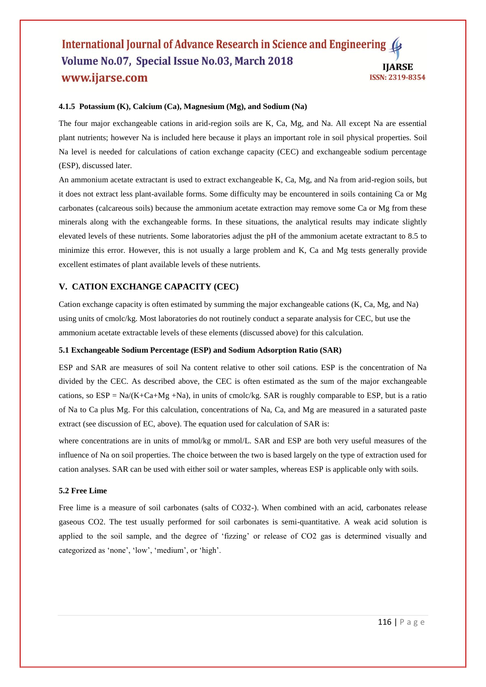## International Journal of Advance Research in Science and Engineering ( Volume No.07, Special Issue No.03, March 2018 **IJARSE** www.ijarse.com ISSN: 2319-8354

## **4.1.5 Potassium (K), Calcium (Ca), Magnesium (Mg), and Sodium (Na)**

The four major exchangeable cations in arid-region soils are K, Ca, Mg, and Na. All except Na are essential plant nutrients; however Na is included here because it plays an important role in soil physical properties. Soil Na level is needed for calculations of cation exchange capacity (CEC) and exchangeable sodium percentage (ESP), discussed later.

An ammonium acetate extractant is used to extract exchangeable K, Ca, Mg, and Na from arid-region soils, but it does not extract less plant-available forms. Some difficulty may be encountered in soils containing Ca or Mg carbonates (calcareous soils) because the ammonium acetate extraction may remove some Ca or Mg from these minerals along with the exchangeable forms. In these situations, the analytical results may indicate slightly elevated levels of these nutrients. Some laboratories adjust the pH of the ammonium acetate extractant to 8.5 to minimize this error. However, this is not usually a large problem and K, Ca and Mg tests generally provide excellent estimates of plant available levels of these nutrients.

## **V. CATION EXCHANGE CAPACITY (CEC)**

Cation exchange capacity is often estimated by summing the major exchangeable cations (K, Ca, Mg, and Na) using units of cmolc/kg. Most laboratories do not routinely conduct a separate analysis for CEC, but use the ammonium acetate extractable levels of these elements (discussed above) for this calculation.

#### **5.1 Exchangeable Sodium Percentage (ESP) and Sodium Adsorption Ratio (SAR)**

ESP and SAR are measures of soil Na content relative to other soil cations. ESP is the concentration of Na divided by the CEC. As described above, the CEC is often estimated as the sum of the major exchangeable cations, so  $ESP = Na/(K+Ca+Mg +Na)$ , in units of cmolc/kg. SAR is roughly comparable to ESP, but is a ratio of Na to Ca plus Mg. For this calculation, concentrations of Na, Ca, and Mg are measured in a saturated paste extract (see discussion of EC, above). The equation used for calculation of SAR is:

where concentrations are in units of mmol/kg or mmol/L. SAR and ESP are both very useful measures of the influence of Na on soil properties. The choice between the two is based largely on the type of extraction used for cation analyses. SAR can be used with either soil or water samples, whereas ESP is applicable only with soils.

#### **5.2 Free Lime**

Free lime is a measure of soil carbonates (salts of CO32-). When combined with an acid, carbonates release gaseous CO2. The test usually performed for soil carbonates is semi-quantitative. A weak acid solution is applied to the soil sample, and the degree of "fizzing" or release of CO2 gas is determined visually and categorized as 'none', 'low', 'medium', or 'high'.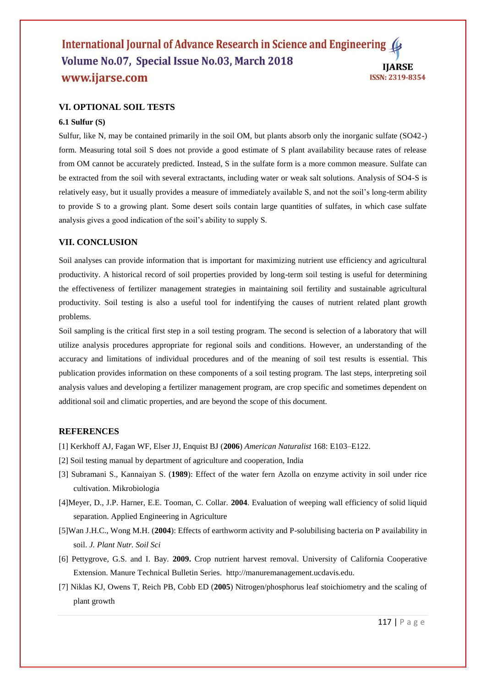## International Journal of Advance Research in Science and Engineering ( Volume No.07, Special Issue No.03, March 2018 **IIARSE** www.ijarse.com ISSN: 2319-8354

## **VI. OPTIONAL SOIL TESTS**

## **6.1 Sulfur (S)**

Sulfur, like N, may be contained primarily in the soil OM, but plants absorb only the inorganic sulfate (SO42-) form. Measuring total soil S does not provide a good estimate of S plant availability because rates of release from OM cannot be accurately predicted. Instead, S in the sulfate form is a more common measure. Sulfate can be extracted from the soil with several extractants, including water or weak salt solutions. Analysis of SO4-S is relatively easy, but it usually provides a measure of immediately available S, and not the soil"s long-term ability to provide S to a growing plant. Some desert soils contain large quantities of sulfates, in which case sulfate analysis gives a good indication of the soil"s ability to supply S.

## **VII. CONCLUSION**

Soil analyses can provide information that is important for maximizing nutrient use efficiency and agricultural productivity. A historical record of soil properties provided by long-term soil testing is useful for determining the effectiveness of fertilizer management strategies in maintaining soil fertility and sustainable agricultural productivity. Soil testing is also a useful tool for indentifying the causes of nutrient related plant growth problems.

Soil sampling is the critical first step in a soil testing program. The second is selection of a laboratory that will utilize analysis procedures appropriate for regional soils and conditions. However, an understanding of the accuracy and limitations of individual procedures and of the meaning of soil test results is essential. This publication provides information on these components of a soil testing program. The last steps, interpreting soil analysis values and developing a fertilizer management program, are crop specific and sometimes dependent on additional soil and climatic properties, and are beyond the scope of this document.

## **REFERENCES**

- [1] Kerkhoff AJ, Fagan WF, Elser JJ, Enquist BJ (**2006**) *American Naturalist* 168: E103–E122.
- [2] Soil testing manual by department of agriculture and cooperation, India
- [3] Subramani S., Kannaiyan S. (**1989**): Effect of the water fern Azolla on enzyme activity in soil under rice cultivation. Mikrobiologia
- [4]Meyer, D., J.P. Harner, E.E. Tooman, C. Collar. **2004**. Evaluation of weeping wall efficiency of solid liquid separation. Applied Engineering in Agriculture
- [5]Wan J.H.C., Wong M.H. (**2004**): Effects of earthworm activity and P-solubilising bacteria on P availability in soil. *J. Plant Nutr. Soil Sci*
- [6] Pettygrove, G.S. and I. Bay. **2009.** Crop nutrient harvest removal. University of California Cooperative Extension. Manure Technical Bulletin Series. http://manuremanagement.ucdavis.edu.
- [7] Niklas KJ, Owens T, Reich PB, Cobb ED (**2005**) Nitrogen/phosphorus leaf stoichiometry and the scaling of plant growth